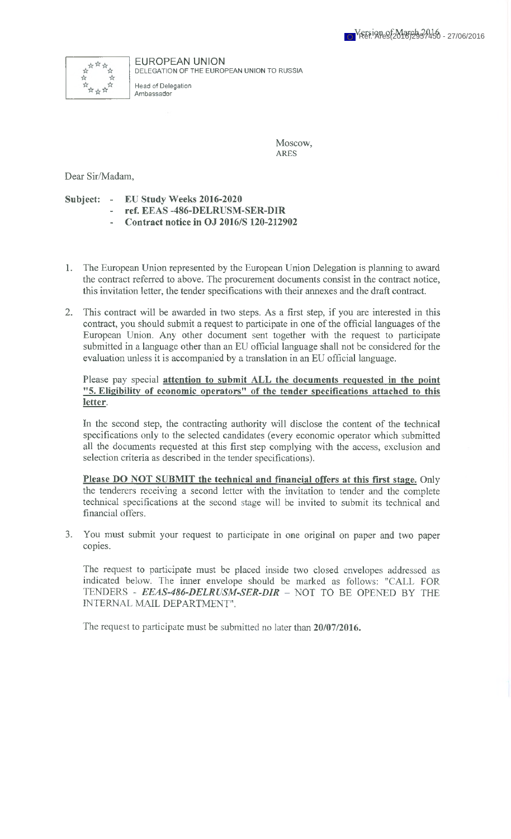

EUROPEAN UNION DELEGATION OF THE EUROPEAN UNION TO RUSSIA

Head of Delegation Ambassador

> Moscow, ARES

Dear Sir/Madam,

**Subject: - EU Study Weeks 2016-2020 - ref. EEAS -486-DELRUSM-SER-DIR**

- **Contract notice in OJ 2016/S 120-212902**
- 1. The European Union represented by the European Union Delegation is planning to award the contract referred to above. The procurement documents consist in the contract notice, this invitation letter, the tender specifications with their annexes and the draft contract.
- 2. This contract will be awarded in two steps. As a first step, if you are interested in this contract, you should submit a request to participate in one of the official languages of the European Union. Any other document sent together with the request to participate submitted in a language other than an EU official language shall not be considered for the evaluation unless it is accompanied by a translation in an EU official language.

## Please pay special **attention to submit ALL the documents requested in the point "5. Eligibility of economic operators" of the tender specifications attached to this letter.**

In the second step, the contracting authority will disclose the content of the technical specifications only to the selected candidates (every economic operator which submitted all the documents requested at this first step complying with the access, exclusion and selection criteria as described in the tender specifications).

**Please DO NOT SUBMIT the technical and financial offers at this first stage.** Only the tenderers receiving a second letter with the invitation to tender and the complete technical specifications at the second stage will be invited to submit its technical and financial offers.

3. You must submit your request to participate in one original on paper and two paper copies.

The request to participate must be placed inside two closed envelopes addressed as indicated below. The inner envelope should be marked as follows: "CALL FOR TENDERS - *EEAS-486-DELRUSM-SER-DIR* - NOT TO BE OPENED BY THE INTERNAL MAIL DEPARTMENT".

The request to participate must be submitted no later than **20/07/2016.**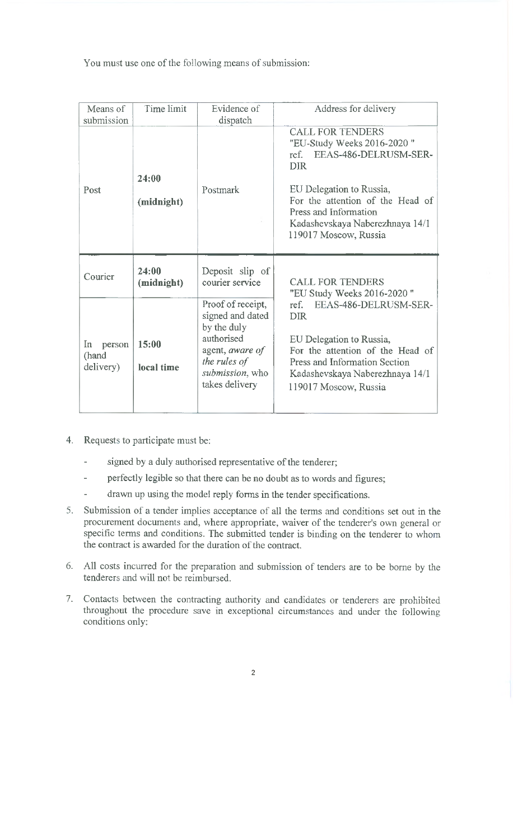You must use one of the following means of submission:

| Means of<br>submission             | Time limit          | Evidence of<br>dispatch                                                                                                                    | Address for delivery                                                                                                                                                                                                                                              |
|------------------------------------|---------------------|--------------------------------------------------------------------------------------------------------------------------------------------|-------------------------------------------------------------------------------------------------------------------------------------------------------------------------------------------------------------------------------------------------------------------|
| Post                               | 24:00<br>(midnight) | Postmark                                                                                                                                   | <b>CALL FOR TENDERS</b><br>"EU-Study Weeks 2016-2020"<br>EEAS-486-DELRUSM-SER-<br>ref.<br><b>DIR</b><br>EU Delegation to Russia,<br>For the attention of the Head of<br>Press and Information<br>Kadashevskaya Naberezhnaya 14/1<br>119017 Moscow, Russia         |
| Courier                            | 24:00<br>(midnight) | Deposit slip of<br>courier service                                                                                                         | <b>CALL FOR TENDERS</b><br>"EU Study Weeks 2016-2020"<br>EEAS-486-DELRUSM-SER-<br>ref.<br><b>DIR</b><br>EU Delegation to Russia,<br>For the attention of the Head of<br>Press and Information Section<br>Kadashevskaya Naberezhnaya 14/1<br>119017 Moscow, Russia |
| In<br>person<br>(hand<br>delivery) | 15:00<br>local time | Proof of receipt,<br>signed and dated<br>by the duly<br>authorised<br>agent, aware of<br>the rules of<br>submission, who<br>takes delivery |                                                                                                                                                                                                                                                                   |

- 4. Requests to participate must be:
	- signed by a duly authorised representative of the tenderer;
	- perfectly legible so that there can be no doubt as to words and figures;
	- drawn up using the model reply forms in the tender specifications.
- 5. Submission of a tender implies acceptance of all the terms and conditions set out in the procurement documents and, where appropriate, waiver of the tenderer's own general or specific terms and conditions. The submitted tender is binding on the tenderer to whom the contract is awarded for the duration of the contract.
- 6. All costs incurred for the preparation and submission of tenders are to be borne by the tenderers and will not be reimbursed.
- 7. Contacts between the contracting authority and candidates or tenderers are prohibited throughout the procedure save in exceptional circumstances and under the following conditions only:

2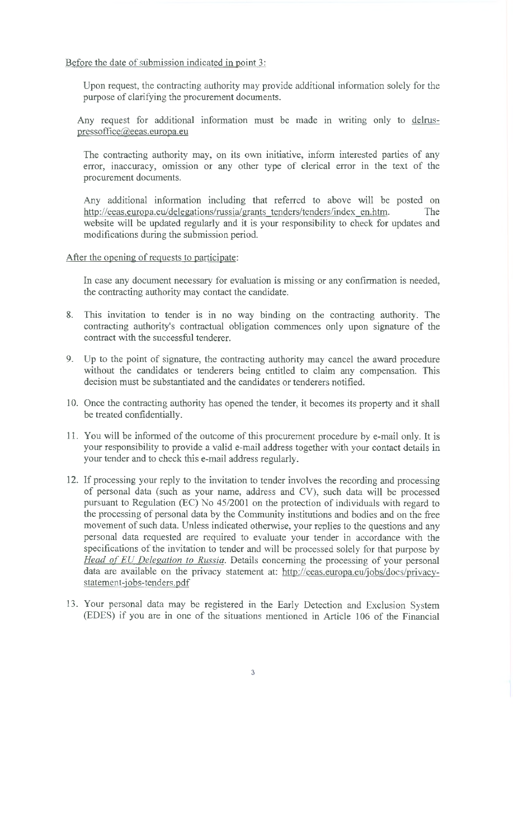Before the date of submission indicated in point 3:

Upon request, the contracting authority may provide additional information solely for the purpose of clarifying the procurement documents.

Any request for additional information must be made in writing only to delruspressoffice@eeas.europa.eu

The contracting authority may, on its own initiative, inform interested parties of any error, inaccuracy, omission or any other type of clerical error in the text of the procurement documents.

Any additional information including that referred to above will be posted on [http://eeas.europa.eu/delegations/russia/grants](http://eeas.europa.eu/delegations/russia/grants_tenders/tenders/index_en.htm) tenders/tenders/index en.htm. The website will be updated regularly and it is your responsibility to check for updates and modifications during the submission period.

After the opening of requests to participate:

In case any document necessary for evaluation is missing or any confirmation is needed, the contracting authority may contact the candidate.

- 8. This invitation to tender is in no way binding on the contracting authority. The contracting authority's contractual obligation commences only upon signature of the contract with the successful tenderer.
- 9. Up to the point of signature, the contracting authority may cancel the award procedure without the candidates or tenderers being entitled to claim any compensation. This decision must be substantiated and the candidates or tenderers notified.
- 10. Once the contracting authority has opened the tender, it becomes its property and it shall be treated confidentially.
- 11. You will be informed of the outcome of this procurement procedure by e-mail only. It is your responsibility to provide a valid e-mail address together with your contact details in your tender and to check this e-mail address regularly.
- 12. If processing your reply to the invitation to tender involves the recording and processing of personal data (such as your name, address and CV), such data will be processed pursuant to Regulation (EC) No 45/2001 on the protection of individuals with regard to the processing of personal data by the Community institutions and bodies and on the free movement of such data. Unless indicated otherwise, your replies to the questions and any personal data requested are required to evaluate your tender in accordance with the specifications of the invitation to tender and will be processed solely for that purpose by *Head of EU Delegation to Russia.* Details concerning the processing of your personal data are available on the privacy statement at: http://eeas.europa.eu/jobs/docs/privacy[statement-iobs-tenders.pdf](http://eeas.europa.eu/iobs/docs/privacv-statement-iobs-tenders.pdf)
- 13. Your personal data may be registered in the Early Detection and Exclusion System (EDES) if you are in one of the situations mentioned in Article 106 of the Financial

3